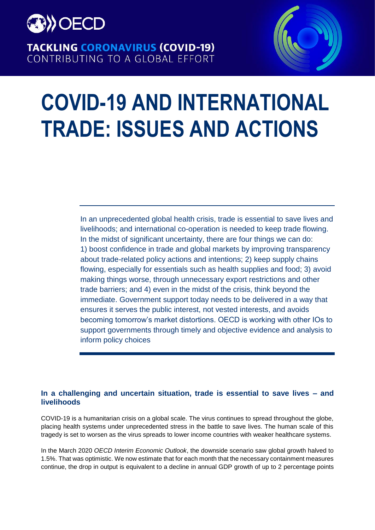

**TACKLING CORONAVIRUS (COVID-19)** CONTRIBUTING TO A GLOBAL EFFORT



# **COVID-19 AND INTERNATIONAL TRADE: ISSUES AND ACTIONS**

In an unprecedented global health crisis, trade is essential to save lives and livelihoods; and international co-operation is needed to keep trade flowing. In the midst of significant uncertainty, there are four things we can do: 1) boost confidence in trade and global markets by improving transparency about trade-related policy actions and intentions; 2) keep supply chains flowing, especially for essentials such as health supplies and food; 3) avoid making things worse, through unnecessary export restrictions and other trade barriers; and 4) even in the midst of the crisis, think beyond the immediate. Government support today needs to be delivered in a way that ensures it serves the public interest, not vested interests, and avoids becoming tomorrow's market distortions. OECD is working with other IOs to support governments through timely and objective evidence and analysis to inform policy choices

# **In a challenging and uncertain situation, trade is essential to save lives – and livelihoods**

COVID-19 is a humanitarian crisis on a global scale. The virus continues to spread throughout the globe, placing health systems under unprecedented stress in the battle to save lives. The human scale of this tragedy is set to worsen as the virus spreads to lower income countries with weaker healthcare systems.

In the March 2020 *OECD Interim Economic Outlook*, the downside scenario saw global growth halved to 1.5%. That was optimistic. We now estimate that for each month that the necessary containment measures continue, the drop in output is equivalent to a decline in annual GDP growth of up to 2 percentage points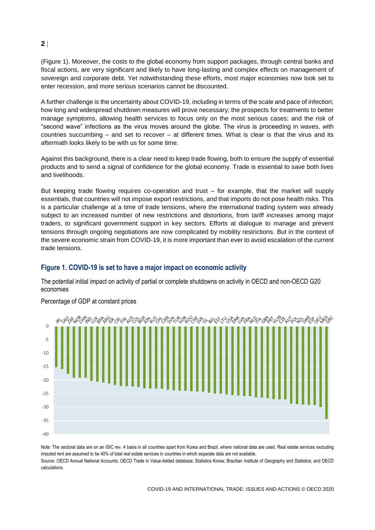# **2**

(Figure 1). Moreover, the costs to the global economy from support packages, through central banks and fiscal actions, are very significant and likely to have long-lasting and complex effects on management of sovereign and corporate debt. Yet notwithstanding these efforts, most major economies now look set to enter recession, and more serious scenarios cannot be discounted.

A further challenge is the uncertainty about COVID-19, including in terms of the scale and pace of infection; how long and widespread shutdown measures will prove necessary; the prospects for treatments to better manage symptoms, allowing health services to focus only on the most serious cases; and the risk of "second wave" infections as the virus moves around the globe. The virus is proceeding in waves, with countries succumbing – and set to recover – at different times. What is clear is that the virus and its aftermath looks likely to be with us for some time.

Against this background, there is a clear need to keep trade flowing, both to ensure the supply of essential products and to send a signal of confidence for the global economy. Trade is essential to save both lives and livelihoods.

But keeping trade flowing requires co-operation and trust – for example, that the market will supply essentials, that countries will not impose export restrictions, and that imports do not pose health risks. This is a particular challenge at a time of trade tensions, where the international trading system was already subject to an increased number of new restrictions and distortions, from tariff increases among major traders, to significant government support in key sectors. Efforts at dialogue to manage and prevent tensions through ongoing negotiations are now complicated by mobility restrictions. But in the context of the severe economic strain from COVID-19, it is more important than ever to avoid escalation of the current trade tensions.

# **Figure 1. COVID-19 is set to have a major impact on economic activity**

The potential initial impact on activity of partial or complete shutdowns on activity in OECD and non-OECD G20 economies



### Percentage of GDP at constant prices

Note: The sectoral data are on an ISIC rev. 4 basis in all countries apart from Korea and Brazil, where national data are used. Real estate services excluding imputed rent are assumed to be 40% of total real estate services in countries in which separate data are not available. Source: OECD Annual National Accounts; OECD Trade in Value-Added database; Statistics Korea; Brazilian Institute of Geography and Statistics; and OECD calculations.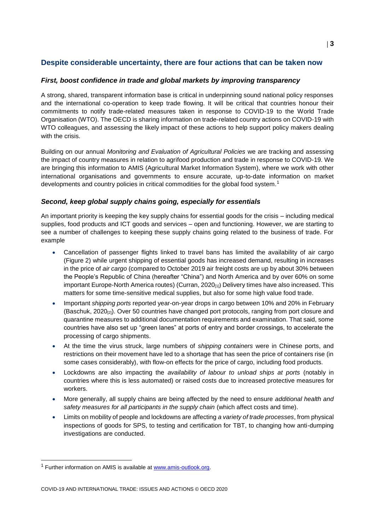# **Despite considerable uncertainty, there are four actions that can be taken now**

### *First, boost confidence in trade and global markets by improving transparency*

A strong, shared, transparent information base is critical in underpinning sound national policy responses and the international co-operation to keep trade flowing. It will be critical that countries honour their commitments to notify trade-related measures taken in response to COVID-19 to the World Trade Organisation (WTO). The OECD is sharing information on trade-related country actions on COVID-19 with WTO colleagues, and assessing the likely impact of these actions to help support policy makers dealing with the crisis.

Building on our annual *Monitoring and Evaluation of Agricultural Policies* we are tracking and assessing the impact of country measures in relation to agrifood production and trade in response to COVID-19. We are bringing this information to AMIS (Agricultural Market Information System), where we work with other international organisations and governments to ensure accurate, up-to-date information on market developments and country policies in critical commodities for the global food system.<sup>1</sup>

### *Second, keep global supply chains going, especially for essentials*

An important priority is keeping the key supply chains for essential goods for the crisis – including medical supplies, food products and ICT goods and services – open and functioning. However, we are starting to see a number of challenges to keeping these supply chains going related to the business of trade. For example

- Cancellation of passenger flights linked to travel bans has limited the availability of air cargo (Figure 2) while urgent shipping of essential goods has increased demand, resulting in increases in the price of *air cargo* (compared to October 2019 air freight costs are up by about 30% between the People's Republic of China (hereafter "China") and North America and by over 60% on some important Europe-North America routes) (Curran, 2020<sub>[1]</sub>) Delivery times have also increased. This matters for some time-sensitive medical supplies, but also for some high value food trade.
- Important *shipping ports* reported year-on-year drops in cargo between 10% and 20% in February (Baschuk, 2020[2]). Over 50 countries have changed port protocols, ranging from port closure and quarantine measures to additional documentation requirements and examination. That said, some countries have also set up "green lanes" at ports of entry and border crossings, to accelerate the processing of cargo shipments.
- At the time the virus struck, large numbers of *shipping containers* were in Chinese ports, and restrictions on their movement have led to a shortage that has seen the price of containers rise (in some cases considerably), with flow-on effects for the price of cargo, including food products.
- Lockdowns are also impacting the *availability of labour to unload ships at ports* (notably in countries where this is less automated) or raised costs due to increased protective measures for workers.
- More generally, all supply chains are being affected by the need to ensure *additional health and safety measures for all participants in the supply chain* (which affect costs and time).
- Limits on mobility of people and lockdowns are affecting *a variety of trade processes*, from physical inspections of goods for SPS, to testing and certification for TBT, to changing how anti-dumping investigations are conducted.

 $1$  Further information on AMIS is available at [www.amis-outlook.org.](http://www.amis-outlook.org/)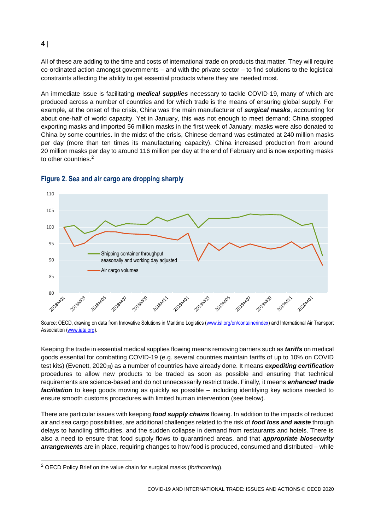All of these are adding to the time and costs of international trade on products that matter. They will require co-ordinated action amongst governments – and with the private sector – to find solutions to the logistical constraints affecting the ability to get essential products where they are needed most.

An immediate issue is facilitating *medical supplies* necessary to tackle COVID-19, many of which are produced across a number of countries and for which trade is the means of ensuring global supply. For example, at the onset of the crisis, China was the main manufacturer of *surgical masks*, accounting for about one-half of world capacity. Yet in January, this was not enough to meet demand; China stopped exporting masks and imported 56 million masks in the first week of January; masks were also donated to China by some countries. In the midst of the crisis, Chinese demand was estimated at 240 million masks per day (more than ten times its manufacturing capacity). China increased production from around 20 million masks per day to around 116 million per day at the end of February and is now exporting masks to other countries.<sup>2</sup>



# **Figure 2. Sea and air cargo are dropping sharply**

Keeping the trade in essential medical supplies flowing means removing barriers such as *tariffs* on medical goods essential for combatting COVID-19 (e.g. several countries maintain tariffs of up to 10% on COVID test kits) (Evenett, 2020[3]) as a number of countries have already done. It means *expediting certification* procedures to allow new products to be traded as soon as possible and ensuring that technical requirements are science-based and do not unnecessarily restrict trade. Finally, it means *enhanced trade facilitation* to keep goods moving as quickly as possible – including identifying key actions needed to ensure smooth customs procedures with limited human intervention (see below).

There are particular issues with keeping *food supply chains* flowing. In addition to the impacts of reduced air and sea cargo possibilities, are additional challenges related to the risk of *food loss and waste* through delays to handling difficulties, and the sudden collapse in demand from restaurants and hotels. There is also a need to ensure that food supply flows to quarantined areas, and that *appropriate biosecurity arrangements* are in place, requiring changes to how food is produced, consumed and distributed – while

#### **4**

Source: OECD, drawing on data from Innovative Solutions in Maritime Logistics [\(www.isl.org/en/containerindex\)](http://www.isl.org/en/containerindex) and International Air Transport Association [\(www.iata.org\)](http://www.iata.org/).

<sup>2</sup> OECD Policy Brief on the value chain for surgical masks (*forthcoming*).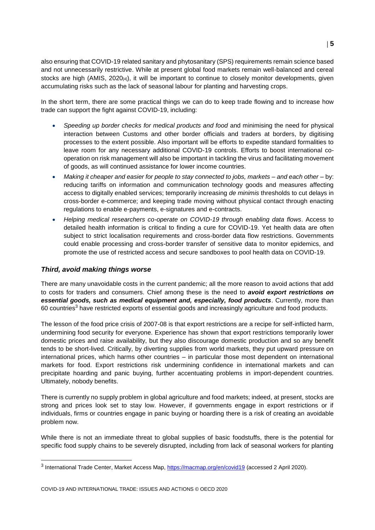also ensuring that COVID-19 related sanitary and phytosanitary (SPS) requirements remain science based and not unnecessarily restrictive. While at present global food markets remain well-balanced and cereal stocks are high (AMIS,  $2020_{[4]}$ ), it will be important to continue to closely monitor developments, given accumulating risks such as the lack of seasonal labour for planting and harvesting crops.

In the short term, there are some practical things we can do to keep trade flowing and to increase how trade can support the fight against COVID-19, including:

- *Speeding up border checks for medical products and food* and minimising the need for physical interaction between Customs and other border officials and traders at borders, by digitising processes to the extent possible. Also important will be efforts to expedite standard formalities to leave room for any necessary additional COVID-19 controls. Efforts to boost international cooperation on risk management will also be important in tackling the virus and facilitating movement of goods, as will continued assistance for lower income countries.
- *Making it cheaper and easier for people to stay connected to jobs, markets – and each other* by: reducing tariffs on information and communication technology goods and measures affecting access to digitally enabled services; temporarily increasing *de minimis* thresholds to cut delays in cross-border e-commerce; and keeping trade moving without physical contact through enacting regulations to enable e-payments, e-signatures and e-contracts.
- *Helping medical researchers co-operate on COVID-19 through enabling data flows*. Access to detailed health information is critical to finding a cure for COVID-19. Yet health data are often subject to strict localisation requirements and cross-border data flow restrictions. Governments could enable processing and cross-border transfer of sensitive data to monitor epidemics, and promote the use of restricted access and secure sandboxes to pool health data on COVID-19.

### *Third, avoid making things worse*

There are many unavoidable costs in the current pandemic; all the more reason to avoid actions that add to costs for traders and consumers. Chief among these is the need to *avoid export restrictions on essential goods, such as medical equipment and, especially, food products*. Currently, more than 60 countries<sup>3</sup> have restricted exports of essential goods and increasingly agriculture and food products.

The lesson of the food price crisis of 2007-08 is that export restrictions are a recipe for self-inflicted harm, undermining food security for everyone. Experience has shown that export restrictions temporarily lower domestic prices and raise availability, but they also discourage domestic production and so any benefit tends to be short-lived. Critically, by diverting supplies from world markets, they put upward pressure on international prices, which harms other countries – in particular those most dependent on international markets for food. Export restrictions risk undermining confidence in international markets and can precipitate hoarding and panic buying, further accentuating problems in import-dependent countries. Ultimately, nobody benefits.

There is currently no supply problem in global agriculture and food markets; indeed, at present, stocks are strong and prices look set to stay low. However, if governments engage in export restrictions or if individuals, firms or countries engage in panic buying or hoarding there is a risk of creating an avoidable problem now.

While there is not an immediate threat to global supplies of basic foodstuffs, there is the potential for specific food supply chains to be severely disrupted, including from lack of seasonal workers for planting

<sup>&</sup>lt;sup>3</sup> International Trade Center, Market Access Map,<https://macmap.org/en/covid19> (accessed 2 April 2020).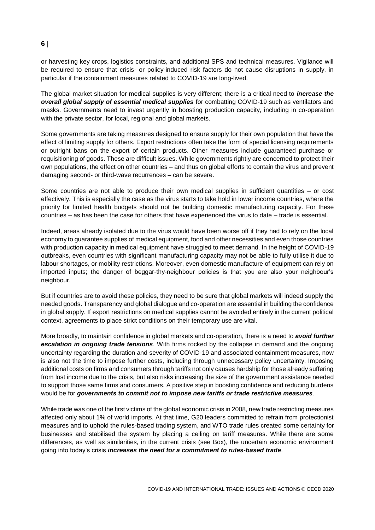## **6**

or harvesting key crops, logistics constraints, and additional SPS and technical measures. Vigilance will be required to ensure that crisis- or policy-induced risk factors do not cause disruptions in supply, in particular if the containment measures related to COVID-19 are long-lived.

The global market situation for medical supplies is very different; there is a critical need to *increase the overall global supply of essential medical supplies* for combatting COVID-19 such as ventilators and masks. Governments need to invest urgently in boosting production capacity, including in co-operation with the private sector, for local, regional and global markets.

Some governments are taking measures designed to ensure supply for their own population that have the effect of limiting supply for others. Export restrictions often take the form of special licensing requirements or outright bans on the export of certain products. Other measures include guaranteed purchase or requisitioning of goods. These are difficult issues. While governments rightly are concerned to protect their own populations, the effect on other countries – and thus on global efforts to contain the virus and prevent damaging second- or third-wave recurrences – can be severe.

Some countries are not able to produce their own medical supplies in sufficient quantities – or cost effectively. This is especially the case as the virus starts to take hold in lower income countries, where the priority for limited health budgets should not be building domestic manufacturing capacity. For these countries – as has been the case for others that have experienced the virus to date – trade is essential.

Indeed, areas already isolated due to the virus would have been worse off if they had to rely on the local economy to guarantee supplies of medical equipment, food and other necessities and even those countries with production capacity in medical equipment have struggled to meet demand. In the height of COVID-19 outbreaks, even countries with significant manufacturing capacity may not be able to fully utilise it due to labour shortages, or mobility restrictions. Moreover, even domestic manufacture of equipment can rely on imported inputs; the danger of beggar-thy-neighbour policies is that you are also your neighbour's neighbour.

But if countries are to avoid these policies, they need to be sure that global markets will indeed supply the needed goods. Transparency and global dialogue and co-operation are essential in building the confidence in global supply. If export restrictions on medical supplies cannot be avoided entirely in the current political context, agreements to place strict conditions on their temporary use are vital.

More broadly, to maintain confidence in global markets and co-operation, there is a need to *avoid further escalation in ongoing trade tensions*. With firms rocked by the collapse in demand and the ongoing uncertainty regarding the duration and severity of COVID-19 and associated containment measures, now is also not the time to impose further costs, including through unnecessary policy uncertainty. Imposing additional costs on firms and consumers through tariffs not only causes hardship for those already suffering from lost income due to the crisis, but also risks increasing the size of the government assistance needed to support those same firms and consumers. A positive step in boosting confidence and reducing burdens would be for *governments to commit not to impose new tariffs or trade restrictive measures*.

While trade was one of the first victims of the global economic crisis in 2008, new trade restricting measures affected only about 1% of world imports. At that time, G20 leaders committed to refrain from protectionist measures and to uphold the rules-based trading system, and WTO trade rules created some certainty for businesses and stabilised the system by placing a ceiling on tariff measures. While there are some differences, as well as similarities, in the current crisis (see Box), the uncertain economic environment going into today's crisis *increases the need for a commitment to rules-based trade*.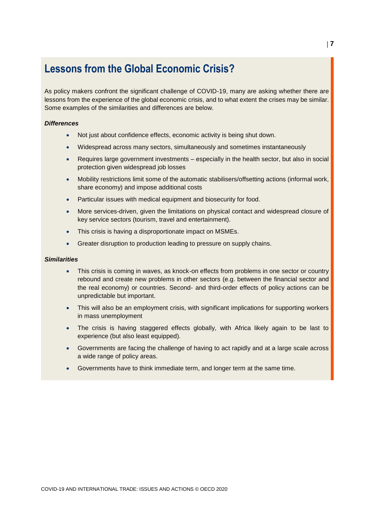# **Lessons from the Global Economic Crisis?**

As policy makers confront the significant challenge of COVID-19, many are asking whether there are lessons from the experience of the global economic crisis, and to what extent the crises may be similar. Some examples of the similarities and differences are below.

#### *Differences*

- Not just about confidence effects, economic activity is being shut down.
- Widespread across many sectors, simultaneously and sometimes instantaneously
- Requires large government investments especially in the health sector, but also in social protection given widespread job losses
- Mobility restrictions limit some of the automatic stabilisers/offsetting actions (informal work, share economy) and impose additional costs
- Particular issues with medical equipment and biosecurity for food.
- More services-driven, given the limitations on physical contact and widespread closure of key service sectors (tourism, travel and entertainment).
- This crisis is having a disproportionate impact on MSMEs.
- Greater disruption to production leading to pressure on supply chains.

### *Similarities*

- This crisis is coming in waves, as knock-on effects from problems in one sector or country rebound and create new problems in other sectors (e.g. between the financial sector and the real economy) or countries. Second- and third-order effects of policy actions can be unpredictable but important.
- This will also be an employment crisis, with significant implications for supporting workers in mass unemployment
- The crisis is having staggered effects globally, with Africa likely again to be last to experience (but also least equipped).
- Governments are facing the challenge of having to act rapidly and at a large scale across a wide range of policy areas.
- Governments have to think immediate term, and longer term at the same time.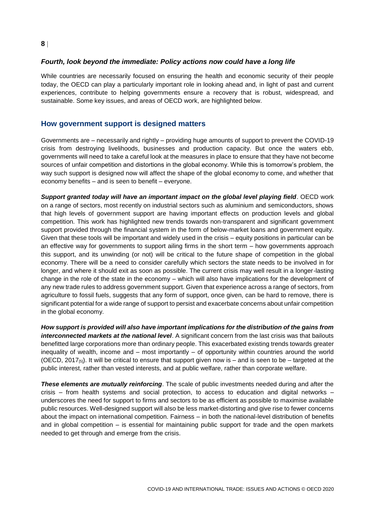# *Fourth, look beyond the immediate: Policy actions now could have a long life*

While countries are necessarily focused on ensuring the health and economic security of their people today, the OECD can play a particularly important role in looking ahead and, in light of past and current experiences, contribute to helping governments ensure a recovery that is robust, widespread, and sustainable. Some key issues, and areas of OECD work, are highlighted below.

### **How government support is designed matters**

Governments are – necessarily and rightly – providing huge amounts of support to prevent the COVID-19 crisis from destroying livelihoods, businesses and production capacity. But once the waters ebb, governments will need to take a careful look at the measures in place to ensure that they have not become sources of unfair competition and distortions in the global economy. While this is tomorrow's problem, the way such support is designed now will affect the shape of the global economy to come, and whether that economy benefits – and is seen to benefit – everyone.

**Support granted today will have an important impact on the global level playing field. OECD work** on a range of sectors, most recently on industrial sectors such as aluminium and semiconductors, shows that high levels of government support are having important effects on production levels and global competition. This work has highlighted new trends towards non-transparent and significant government support provided through the financial system in the form of below-market loans and government equity. Given that these tools will be important and widely used in the crisis – equity positions in particular can be an effective way for governments to support ailing firms in the short term – how governments approach this support, and its unwinding (or not) will be critical to the future shape of competition in the global economy. There will be a need to consider carefully which sectors the state needs to be involved in for longer, and where it should exit as soon as possible. The current crisis may well result in a longer-lasting change in the role of the state in the economy – which will also have implications for the development of any new trade rules to address government support. Given that experience across a range of sectors, from agriculture to fossil fuels, suggests that any form of support, once given, can be hard to remove, there is significant potential for a wide range of support to persist and exacerbate concerns about unfair competition in the global economy.

*How support is provided will also have important implications for the distribution of the gains from interconnected markets at the national level*. A significant concern from the last crisis was that bailouts benefitted large corporations more than ordinary people. This exacerbated existing trends towards greater inequality of wealth, income and – most importantly – of opportunity within countries around the world (OECD, 2017<sup>[5]</sup>). It will be critical to ensure that support given now is – and is seen to be – targeted at the public interest, rather than vested interests, and at public welfare, rather than corporate welfare.

*These elements are mutually reinforcing*. The scale of public investments needed during and after the crisis – from health systems and social protection, to access to education and digital networks – underscores the need for support to firms and sectors to be as efficient as possible to maximise available public resources. Well-designed support will also be less market-distorting and give rise to fewer concerns about the impact on international competition. Fairness – in both the national-level distribution of benefits and in global competition – is essential for maintaining public support for trade and the open markets needed to get through and emerge from the crisis.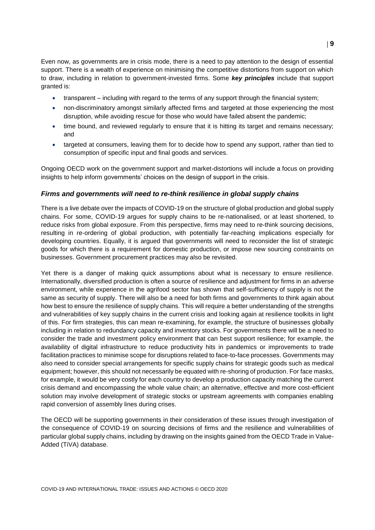Even now, as governments are in crisis mode, there is a need to pay attention to the design of essential support. There is a wealth of experience on minimising the competitive distortions from support on which to draw, including in relation to government-invested firms. Some *key principles* include that support granted is:

- transparent including with regard to the terms of any support through the financial system;
- non-discriminatory amongst similarly affected firms and targeted at those experiencing the most disruption, while avoiding rescue for those who would have failed absent the pandemic;
- time bound, and reviewed regularly to ensure that it is hitting its target and remains necessary; and
- targeted at consumers, leaving them for to decide how to spend any support, rather than tied to consumption of specific input and final goods and services.

Ongoing OECD work on the government support and market-distortions will include a focus on providing insights to help inform governments' choices on the design of support in the crisis.

### *Firms and governments will need to re-think resilience in global supply chains*

There is a live debate over the impacts of COVID-19 on the structure of global production and global supply chains. For some, COVID-19 argues for supply chains to be re-nationalised, or at least shortened, to reduce risks from global exposure. From this perspective, firms may need to re-think sourcing decisions, resulting in re-ordering of global production, with potentially far-reaching implications especially for developing countries. Equally, it is argued that governments will need to reconsider the list of strategic goods for which there is a requirement for domestic production, or impose new sourcing constraints on businesses. Government procurement practices may also be revisited.

Yet there is a danger of making quick assumptions about what is necessary to ensure resilience. Internationally, diversified production is often a source of resilience and adjustment for firms in an adverse environment, while experience in the agrifood sector has shown that self-sufficiency of supply is not the same as security of supply. There will also be a need for both firms and governments to think again about how best to ensure the resilience of supply chains. This will require a better understanding of the strengths and vulnerabilities of key supply chains in the current crisis and looking again at resilience toolkits in light of this. For firm strategies, this can mean re-examining, for example, the structure of businesses globally including in relation to redundancy capacity and inventory stocks. For governments there will be a need to consider the trade and investment policy environment that can best support resilience; for example, the availability of digital infrastructure to reduce productivity hits in pandemics or improvements to trade facilitation practices to minimise scope for disruptions related to face-to-face processes. Governments may also need to consider special arrangements for specific supply chains for strategic goods such as medical equipment; however, this should not necessarily be equated with re-shoring of production. For face masks, for example, it would be very costly for each country to develop a production capacity matching the current crisis demand and encompassing the whole value chain; an alternative, effective and more cost-efficient solution may involve development of strategic stocks or upstream agreements with companies enabling rapid conversion of assembly lines during crises.

The OECD will be supporting governments in their consideration of these issues through investigation of the consequence of COVID-19 on sourcing decisions of firms and the resilience and vulnerabilities of particular global supply chains, including by drawing on the insights gained from the OECD Trade in Value-Added (TiVA) database.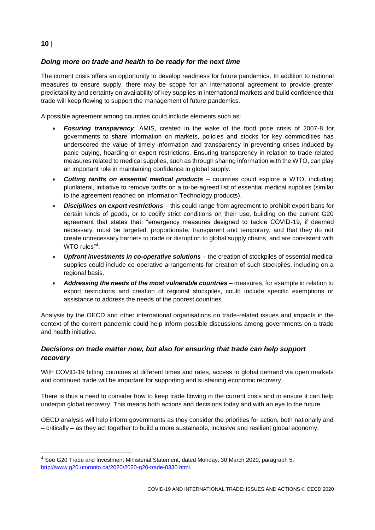# **10**

# *Doing more on trade and health to be ready for the next time*

The current crisis offers an opportunity to develop readiness for future pandemics. In addition to national measures to ensure supply, there may be scope for an international agreement to provide greater predictability and certainty on availability of key supplies in international markets and build confidence that trade will keep flowing to support the management of future pandemics.

A possible agreement among countries could include elements such as:

- *Ensuring transparency*: AMIS, created in the wake of the food price crisis of 2007-8 for governments to share information on markets, policies and stocks for key commodities has underscored the value of timely information and transparency in preventing crises induced by panic buying, hoarding or export restrictions. Ensuring transparency in relation to trade-related measures related to medical supplies, such as through sharing information with the WTO, can play an important role in maintaining confidence in global supply.
- *Cutting tariffs on essential medical products* countries could explore a WTO, including plurilateral, initiative to remove tariffs on a to-be-agreed list of essential medical supplies (similar to the agreement reached on Information Technology products).
- *Disciplines on export restrictions* this could range from agreement to prohibit export bans for certain kinds of goods, or to codify strict conditions on their use, building on the current G20 agreement that states that: "emergency measures designed to tackle COVID-19, if deemed necessary, must be targeted, proportionate, transparent and temporary, and that they do not create unnecessary barriers to trade or disruption to global supply chains, and are consistent with WTO rules"<sup>4</sup>.
- *Upfront investments in co-operative solutions* the creation of stockpiles of essential medical supplies could include co-operative arrangements for creation of such stockpiles, including on a regional basis.
- *Addressing the needs of the most vulnerable countries* measures, for example in relation to export restrictions and creation of regional stockpiles, could include specific exemptions or assistance to address the needs of the poorest countries.

Analysis by the OECD and other international organisations on trade-related issues and impacts in the context of the current pandemic could help inform possible discussions among governments on a trade and health initiative.

# *Decisions on trade matter now, but also for ensuring that trade can help support recovery*

With COVID-19 hitting countries at different times and rates, access to global demand via open markets and continued trade will be important for supporting and sustaining economic recovery.

There is thus a need to consider how to keep trade flowing in the current crisis and to ensure it can help underpin global recovery. This means both actions and decisions today and with an eye to the future.

OECD analysis will help inform governments as they consider the priorities for action, both nationally and – critically – as they act together to build a more sustainable, inclusive and resilient global economy.

<sup>4</sup> See G20 Trade and Investment Ministerial Statement, dated Monday, 30 March 2020, paragraph 5, [http://www.g20.utoronto.ca/2020/2020-g20-trade-0330.html.](http://www.g20.utoronto.ca/2020/2020-g20-trade-0330.html)